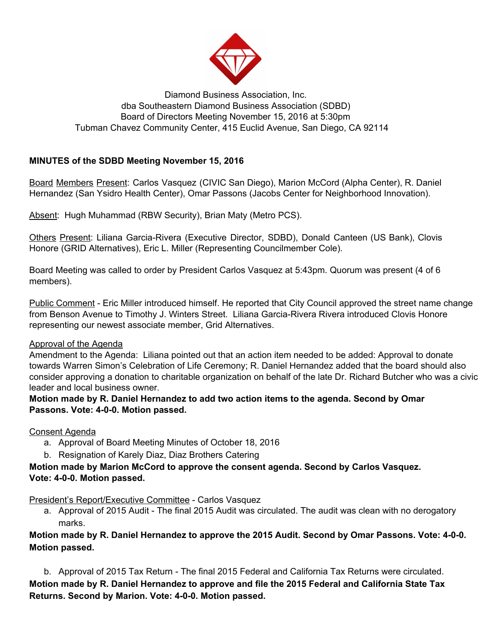

### Diamond Business Association, Inc. dba Southeastern Diamond Business Association (SDBD) Board of Directors Meeting November 15, 2016 at 5:30pm Tubman Chavez Community Center, 415 Euclid Avenue, San Diego, CA 92114

## **MINUTES of the SDBD Meeting November 15, 2016**

Board Members Present: Carlos Vasquez (CIVIC San Diego), Marion McCord (Alpha Center), R. Daniel Hernandez (San Ysidro Health Center), Omar Passons (Jacobs Center for Neighborhood Innovation).

Absent: Hugh Muhammad (RBW Security), Brian Maty (Metro PCS).

Others Present: Liliana Garcia-Rivera (Executive Director, SDBD), Donald Canteen (US Bank), Clovis Honore (GRID Alternatives), Eric L. Miller (Representing Councilmember Cole).

Board Meeting was called to order by President Carlos Vasquez at 5:43pm. Quorum was present (4 of 6 members).

Public Comment - Eric Miller introduced himself. He reported that City Council approved the street name change from Benson Avenue to Timothy J. Winters Street. Liliana Garcia-Rivera Rivera introduced Clovis Honore representing our newest associate member, Grid Alternatives.

#### Approval of the Agenda

Amendment to the Agenda: Liliana pointed out that an action item needed to be added: Approval to donate towards Warren Simon's Celebration of Life Ceremony; R. Daniel Hernandez added that the board should also consider approving a donation to charitable organization on behalf of the late Dr. Richard Butcher who was a civic leader and local business owner.

**Motion made by R. Daniel Hernandez to add two action items to the agenda. Second by Omar Passons. Vote: 4-0-0. Motion passed.**

#### Consent Agenda

- a. Approval of Board Meeting Minutes of October 18, 2016
- b. Resignation of Karely Diaz, Diaz Brothers Catering

## **Motion made by Marion McCord to approve the consent agenda. Second by Carlos Vasquez. Vote: 4-0-0. Motion passed.**

President's Report/Executive Committee - Carlos Vasquez

a. Approval of 2015 Audit - The final 2015 Audit was circulated. The audit was clean with no derogatory marks.

## **Motion made by R. Daniel Hernandez to approve the 2015 Audit. Second by Omar Passons. Vote: 4-0-0. Motion passed.**

b. Approval of 2015 Tax Return - The final 2015 Federal and California Tax Returns were circulated. **Motion made by R. Daniel Hernandez to approve and file the 2015 Federal and California State Tax Returns. Second by Marion. Vote: 4-0-0. Motion passed.**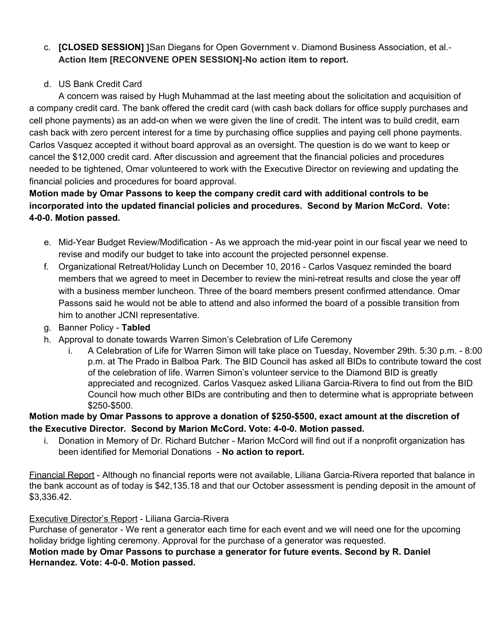# c. **[CLOSED SESSION] ]**San Diegans for Open Government v. Diamond Business Association, et al.- **Action Item [RECONVENE OPEN SESSION]-No action item to report.**

# d. US Bank Credit Card

A concern was raised by Hugh Muhammad at the last meeting about the solicitation and acquisition of a company credit card. The bank offered the credit card (with cash back dollars for office supply purchases and cell phone payments) as an add-on when we were given the line of credit. The intent was to build credit, earn cash back with zero percent interest for a time by purchasing office supplies and paying cell phone payments. Carlos Vasquez accepted it without board approval as an oversight. The question is do we want to keep or cancel the \$12,000 credit card. After discussion and agreement that the financial policies and procedures needed to be tightened, Omar volunteered to work with the Executive Director on reviewing and updating the financial policies and procedures for board approval.

# **Motion made by Omar Passons to keep the company credit card with additional controls to be incorporated into the updated financial policies and procedures. Second by Marion McCord. Vote: 4-0-0. Motion passed.**

- e. Mid-Year Budget Review/Modification As we approach the mid-year point in our fiscal year we need to revise and modify our budget to take into account the projected personnel expense.
- f. Organizational Retreat/Holiday Lunch on December 10, 2016 Carlos Vasquez reminded the board members that we agreed to meet in December to review the mini-retreat results and close the year off with a business member luncheon. Three of the board members present confirmed attendance. Omar Passons said he would not be able to attend and also informed the board of a possible transition from him to another JCNI representative.
- g. Banner Policy **Tabled**
- h. Approval to donate towards Warren Simon's Celebration of Life Ceremony
	- A Celebration of Life for Warren Simon will take place on Tuesday, November 29th. 5:30 p.m. 8:00 p.m. at The Prado in Balboa Park. The BID Council has asked all BIDs to contribute toward the cost of the celebration of life. Warren Simon's volunteer service to the Diamond BID is greatly appreciated and recognized. Carlos Vasquez asked Liliana Garcia-Rivera to find out from the BID Council how much other BIDs are contributing and then to determine what is appropriate between \$250-\$500.

## **Motion made by Omar Passons to approve a donation of \$250-\$500, exact amount at the discretion of the Executive Director. Second by Marion McCord. Vote: 4-0-0. Motion passed.**

i. Donation in Memory of Dr. Richard Butcher - Marion McCord will find out if a nonprofit organization has been identified for Memorial Donations - **No action to report.**

Financial Report - Although no financial reports were not available, Liliana Garcia-Rivera reported that balance in the bank account as of today is \$42,135.18 and that our October assessment is pending deposit in the amount of \$3,336.42.

## Executive Director's Report - Liliana Garcia-Rivera

Purchase of generator - We rent a generator each time for each event and we will need one for the upcoming holiday bridge lighting ceremony. Approval for the purchase of a generator was requested.

### **Motion made by Omar Passons to purchase a generator for future events. Second by R. Daniel Hernandez. Vote: 4-0-0. Motion passed.**